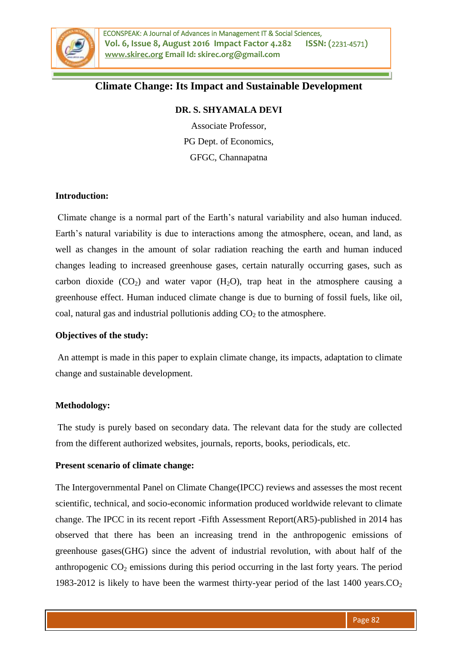

# **Climate Change: Its Impact and Sustainable Development**

# **DR. S. SHYAMALA DEVI**

Associate Professor, PG Dept. of Economics, GFGC, Channapatna

#### **Introduction:**

Climate change is a normal part of the Earth's natural variability and also human induced. Earth's natural variability is due to interactions among the atmosphere, ocean, and land, as well as changes in the amount of solar radiation reaching the earth and human induced changes leading to increased greenhouse gases, certain naturally occurring gases, such as carbon dioxide  $(CO_2)$  and water vapor  $(H_2O)$ , trap heat in the atmosphere causing a greenhouse effect. Human induced climate change is due to burning of fossil fuels, like oil, coal, natural gas and industrial pollutionis adding  $CO<sub>2</sub>$  to the atmosphere.

#### **Objectives of the study:**

An attempt is made in this paper to explain climate change, its impacts, adaptation to climate change and sustainable development.

# **Methodology:**

The study is purely based on secondary data. The relevant data for the study are collected from the different authorized websites, journals, reports, books, periodicals, etc.

#### **Present scenario of climate change:**

The Intergovernmental Panel on Climate Change(IPCC) reviews and assesses the most recent scientific, technical, and socio-economic information produced worldwide relevant to climate change. The IPCC in its recent report -Fifth Assessment Report(AR5)-published in 2014 has observed that there has been an increasing trend in the anthropogenic emissions of greenhouse gases(GHG) since the advent of industrial revolution, with about half of the anthropogenic  $CO<sub>2</sub>$  emissions during this period occurring in the last forty years. The period 1983-2012 is likely to have been the warmest thirty-year period of the last 1400 years. $CO<sub>2</sub>$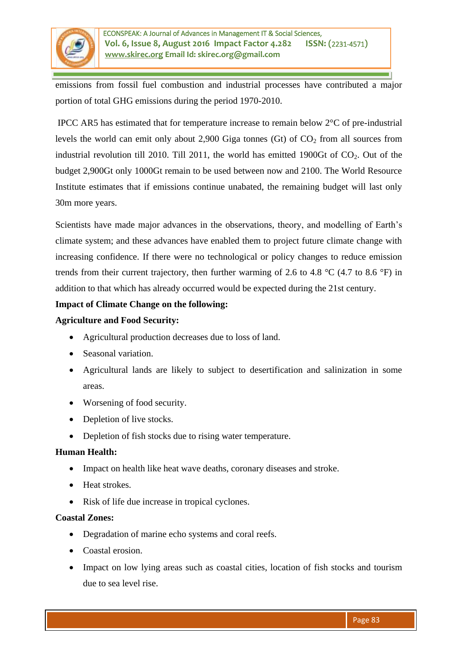

emissions from fossil fuel combustion and industrial processes have contributed a major portion of total GHG emissions during the period 1970-2010.

IPCC AR5 has estimated that for temperature increase to remain below 2°C of pre-industrial levels the world can emit only about 2,900 Giga tonnes (Gt) of  $CO<sub>2</sub>$  from all sources from industrial revolution till 2010. Till 2011, the world has emitted 1900Gt of  $CO<sub>2</sub>$ . Out of the budget 2,900Gt only 1000Gt remain to be used between now and 2100. The World Resource Institute estimates that if emissions continue unabated, the remaining budget will last only 30m more years.

Scientists have made major advances in the observations, theory, and modelling of Earth's climate system; and these advances have enabled them to project future climate change with increasing confidence. If there were no technological or policy changes to reduce emission trends from their current trajectory, then further warming of 2.6 to 4.8  $^{\circ}$ C (4.7 to 8.6  $^{\circ}$ F) in addition to that which has already occurred would be expected during the 21st century.

# **Impact of Climate Change on the following:**

### **Agriculture and Food Security:**

- Agricultural production decreases due to loss of land.
- Seasonal variation.
- Agricultural lands are likely to subject to desertification and salinization in some areas.
- Worsening of food security.
- Depletion of live stocks.
- Depletion of fish stocks due to rising water temperature.

# **Human Health:**

- Impact on health like heat wave deaths, coronary diseases and stroke.
- Heat strokes.
- Risk of life due increase in tropical cyclones.

#### **Coastal Zones:**

- Degradation of marine echo systems and coral reefs.
- Coastal erosion.
- Impact on low lying areas such as coastal cities, location of fish stocks and tourism due to sea level rise.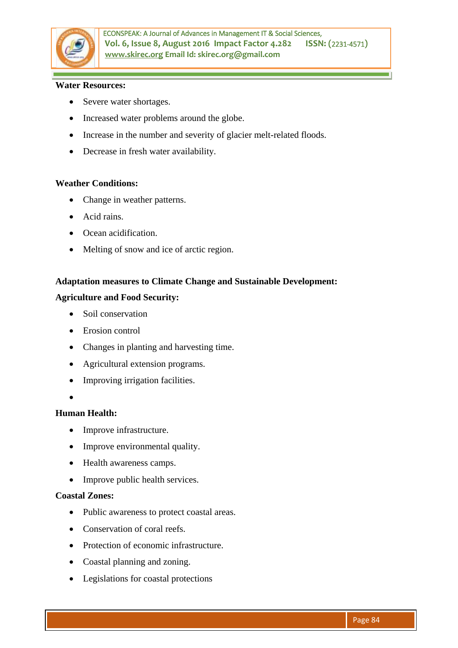

#### **Water Resources:**

- Severe water shortages.
- Increased water problems around the globe.
- Increase in the number and severity of glacier melt-related floods.
- Decrease in fresh water availability.

### **Weather Conditions:**

- Change in weather patterns.
- Acid rains.
- Ocean acidification.
- Melting of snow and ice of arctic region.

### **Adaptation measures to Climate Change and Sustainable Development:**

#### **Agriculture and Food Security:**

- Soil conservation
- Erosion control
- Changes in planting and harvesting time.
- Agricultural extension programs.
- Improving irrigation facilities.
- $\bullet$

# **Human Health:**

- Improve infrastructure.
- Improve environmental quality.
- Health awareness camps.
- Improve public health services.

#### **Coastal Zones:**

- Public awareness to protect coastal areas.
- Conservation of coral reefs.
- Protection of economic infrastructure.
- Coastal planning and zoning.
- Legislations for coastal protections